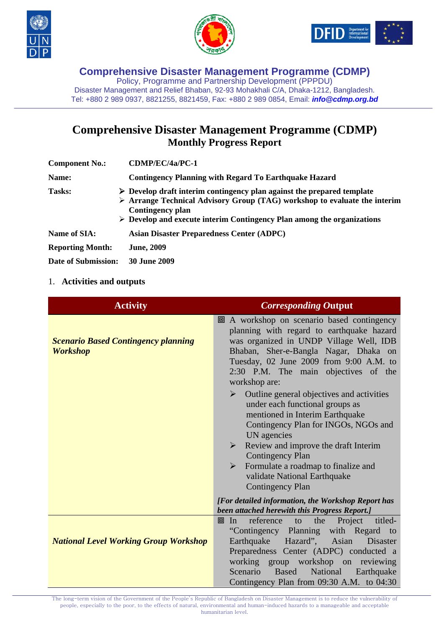





Policy, Programme and Partnership Development (PPPDU) Disaster Management and Relief Bhaban, 92-93 Mohakhali C/A, Dhaka-1212, Bangladesh. Tel: +880 2 989 0937, 8821255, 8821459, Fax: +880 2 989 0854, Email: *info@cdmp.org.bd*

# **Comprehensive Disaster Management Programme (CDMP) Monthly Progress Report**

| <b>Component No.:</b>   | CDMP/EC/4a/PC-1                                                                                                                                                                                                                                                                                |
|-------------------------|------------------------------------------------------------------------------------------------------------------------------------------------------------------------------------------------------------------------------------------------------------------------------------------------|
| Name:                   | <b>Contingency Planning with Regard To Earthquake Hazard</b>                                                                                                                                                                                                                                   |
| <b>Tasks:</b>           | $\triangleright$ Develop draft interim contingency plan against the prepared template<br>$\triangleright$ Arrange Technical Advisory Group (TAG) workshop to evaluate the interim<br>Contingency plan<br>$\triangleright$ Develop and execute interim Contingency Plan among the organizations |
| Name of SIA:            | <b>Asian Disaster Preparedness Center (ADPC)</b>                                                                                                                                                                                                                                               |
| <b>Reporting Month:</b> | <b>June, 2009</b>                                                                                                                                                                                                                                                                              |
| Date of Submission:     | <b>30 June 2009</b>                                                                                                                                                                                                                                                                            |

#### 1. **Activities and outputs**

| <b>Activity</b>                                               | <b>Corresponding Output</b>                                                                                                                                                                                                                                                                                                                                                                                                                                                                                                                                                                                                                                                      |
|---------------------------------------------------------------|----------------------------------------------------------------------------------------------------------------------------------------------------------------------------------------------------------------------------------------------------------------------------------------------------------------------------------------------------------------------------------------------------------------------------------------------------------------------------------------------------------------------------------------------------------------------------------------------------------------------------------------------------------------------------------|
| <b>Scenario Based Contingency planning</b><br><b>Workshop</b> | 回 A workshop on scenario based contingency<br>planning with regard to earthquake hazard<br>was organized in UNDP Village Well, IDB<br>Bhaban, Sher-e-Bangla Nagar, Dhaka on<br>Tuesday, 02 June 2009 from 9:00 A.M. to<br>2:30 P.M. The main objectives of the<br>workshop are:<br>Outline general objectives and activities<br>➤<br>under each functional groups as<br>mentioned in Interim Earthquake<br>Contingency Plan for INGOs, NGOs and<br>UN agencies<br>Review and improve the draft Interim<br>$\blacktriangleright$<br><b>Contingency Plan</b><br>Formulate a roadmap to finalize and<br>$\triangleright$<br>validate National Earthquake<br><b>Contingency Plan</b> |
|                                                               | [For detailed information, the Workshop Report has<br>been attached herewith this Progress Report.]                                                                                                                                                                                                                                                                                                                                                                                                                                                                                                                                                                              |
| <b>National Level Working Group Workshop</b>                  | titled-<br>reference<br>the<br>Project<br>In<br>to<br>回<br>"Contingency Planning<br>with Regard<br>to<br>Hazard",<br>Earthquake<br>Asian<br>Disaster<br>Preparedness Center (ADPC) conducted a<br>working group workshop on<br>reviewing<br>Scenario<br>National<br><b>Based</b><br>Earthquake<br>Contingency Plan from 09:30 A.M. to 04:30                                                                                                                                                                                                                                                                                                                                      |

The long-term vision of the Government of the People's Republic of Bangladesh on Disaster Management is to reduce the vulnerability of people, especially to the poor, to the effects of natural, environmental and human-induced hazards to a manageable and acceptable humanitarian level.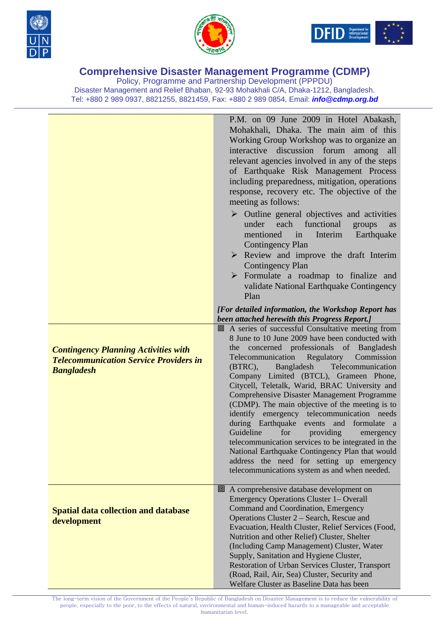





Policy, Programme and Partnership Development (PPPDU) Disaster Management and Relief Bhaban, 92-93 Mohakhali C/A, Dhaka-1212, Bangladesh. Tel: +880 2 989 0937, 8821255, 8821459, Fax: +880 2 989 0854, Email: *info@cdmp.org.bd*

|                                                                                                                   | P.M. on 09 June 2009 in Hotel Abakash,<br>Mohakhali, Dhaka. The main aim of this<br>Working Group Workshop was to organize an<br>interactive<br>discussion forum<br>among<br>all<br>relevant agencies involved in any of the steps<br>of Earthquake Risk Management Process<br>including preparedness, mitigation, operations<br>response, recovery etc. The objective of the<br>meeting as follows:<br>$\triangleright$ Outline general objectives and activities<br>under each functional<br>groups<br>as<br>mentioned<br>in<br>Interim<br>Earthquake<br><b>Contingency Plan</b>                                                                                                                                                                                                                                 |
|-------------------------------------------------------------------------------------------------------------------|--------------------------------------------------------------------------------------------------------------------------------------------------------------------------------------------------------------------------------------------------------------------------------------------------------------------------------------------------------------------------------------------------------------------------------------------------------------------------------------------------------------------------------------------------------------------------------------------------------------------------------------------------------------------------------------------------------------------------------------------------------------------------------------------------------------------|
|                                                                                                                   | $\triangleright$ Review and improve the draft Interim<br><b>Contingency Plan</b><br>$\triangleright$ Formulate a roadmap to finalize and<br>validate National Earthquake Contingency<br>Plan                                                                                                                                                                                                                                                                                                                                                                                                                                                                                                                                                                                                                       |
|                                                                                                                   | [For detailed information, the Workshop Report has<br>been attached herewith this Progress Report.]                                                                                                                                                                                                                                                                                                                                                                                                                                                                                                                                                                                                                                                                                                                |
| <b>Contingency Planning Activities with</b><br><b>Telecommunication Service Providers in</b><br><b>Bangladesh</b> | 回 A series of successful Consultative meeting from<br>8 June to 10 June 2009 have been conducted with<br>concerned professionals of Bangladesh<br>the<br>Telecommunication<br>Regulatory<br>Commission<br>Telecommunication<br>$(BTRC)$ ,<br>Bangladesh<br>Company Limited (BTCL), Grameen Phone,<br>Citycell, Teletalk, Warid, BRAC University and<br>Comprehensive Disaster Management Programme<br>(CDMP). The main objective of the meeting is to<br>identify emergency telecommunication needs<br>during Earthquake events and formulate<br><sub>a</sub><br>Guideline<br>for<br>providing<br>emergency<br>telecommunication services to be integrated in the<br>National Earthquake Contingency Plan that would<br>address the need for setting up emergency<br>telecommunications system as and when needed. |
| <b>Spatial data collection and database</b><br>development                                                        | □ A comprehensive database development on<br>Emergency Operations Cluster 1– Overall<br>Command and Coordination, Emergency<br>Operations Cluster 2 – Search, Rescue and<br>Evacuation, Health Cluster, Relief Services (Food,<br>Nutrition and other Relief) Cluster, Shelter<br>(Including Camp Management) Cluster, Water<br>Supply, Sanitation and Hygiene Cluster,<br>Restoration of Urban Services Cluster, Transport<br>(Road, Rail, Air, Sea) Cluster, Security and<br>Welfare Cluster as Baseline Data has been                                                                                                                                                                                                                                                                                           |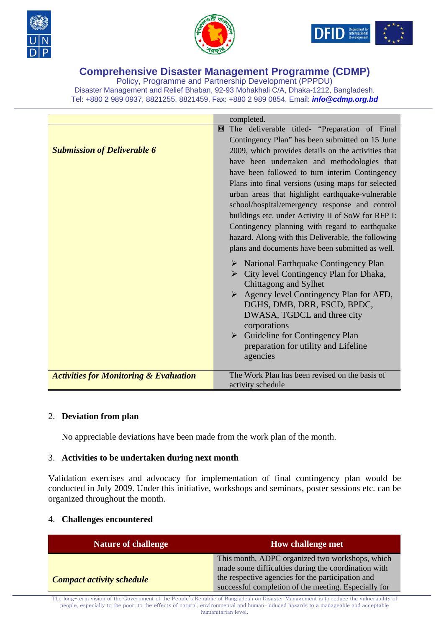





Policy, Programme and Partnership Development (PPPDU) Disaster Management and Relief Bhaban, 92-93 Mohakhali C/A, Dhaka-1212, Bangladesh. Tel: +880 2 989 0937, 8821255, 8821459, Fax: +880 2 989 0854, Email: *info@cdmp.org.bd*

|                                                   | completed.                                              |
|---------------------------------------------------|---------------------------------------------------------|
|                                                   | The deliverable titled- "Preparation of Final<br>回      |
|                                                   | Contingency Plan" has been submitted on 15 June         |
| <b>Submission of Deliverable 6</b>                | 2009, which provides details on the activities that     |
|                                                   | have been undertaken and methodologies that             |
|                                                   | have been followed to turn interim Contingency          |
|                                                   | Plans into final versions (using maps for selected      |
|                                                   | urban areas that highlight earthquake-vulnerable        |
|                                                   | school/hospital/emergency response and control          |
|                                                   | buildings etc. under Activity II of SoW for RFP I:      |
|                                                   | Contingency planning with regard to earthquake          |
|                                                   | hazard. Along with this Deliverable, the following      |
|                                                   | plans and documents have been submitted as well.        |
|                                                   | $\triangleright$ National Earthquake Contingency Plan   |
|                                                   | City level Contingency Plan for Dhaka,<br>➤             |
|                                                   | Chittagong and Sylhet                                   |
|                                                   | $\triangleright$ Agency level Contingency Plan for AFD, |
|                                                   | DGHS, DMB, DRR, FSCD, BPDC,                             |
|                                                   | DWASA, TGDCL and three city                             |
|                                                   | corporations                                            |
|                                                   | $\triangleright$ Guideline for Contingency Plan         |
|                                                   | preparation for utility and Lifeline                    |
|                                                   | agencies                                                |
| <b>Activities for Monitoring &amp; Evaluation</b> | The Work Plan has been revised on the basis of          |
|                                                   | activity schedule                                       |

#### 2. **Deviation from plan**

No appreciable deviations have been made from the work plan of the month.

#### 3. **Activities to be undertaken during next month**

Validation exercises and advocacy for implementation of final contingency plan would be conducted in July 2009. Under this initiative, workshops and seminars, poster sessions etc. can be organized throughout the month.

#### 4. **Challenges encountered**

| <b>Nature of challenge</b>       | <b>How challenge met</b>                                                                                                                                                                                            |
|----------------------------------|---------------------------------------------------------------------------------------------------------------------------------------------------------------------------------------------------------------------|
| <b>Compact activity schedule</b> | This month, ADPC organized two workshops, which<br>made some difficulties during the coordination with<br>the respective agencies for the participation and<br>successful completion of the meeting. Especially for |

The long-term vision of the Government of the People's Republic of Bangladesh on Disaster Management is to reduce the vulnerability of people, especially to the poor, to the effects of natural, environmental and human-induced hazards to a manageable and acceptable humanitarian level.